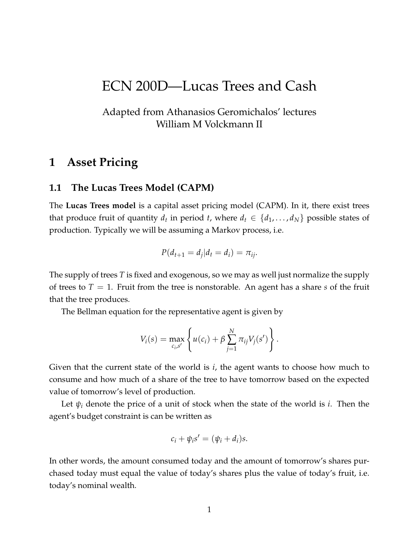# ECN 200D—Lucas Trees and Cash

## Adapted from Athanasios Geromichalos' lectures William M Volckmann II

## **1 Asset Pricing**

#### **1.1 The Lucas Trees Model (CAPM)**

The **Lucas Trees model** is a capital asset pricing model (CAPM). In it, there exist trees that produce fruit of quantity  $d_t$  in period  $t$ , where  $d_t \in \{d_1, \ldots, d_N\}$  possible states of production. Typically we will be assuming a Markov process, i.e.

$$
P(d_{t+1}=d_j|d_t=d_i)=\pi_{ij}.
$$

The supply of trees *T* is fixed and exogenous, so we may as well just normalize the supply of trees to  $T = 1$ . Fruit from the tree is nonstorable. An agent has a share *s* of the fruit that the tree produces.

The Bellman equation for the representative agent is given by

$$
V_i(s) = \max_{c_i,s'} \left\{ u(c_i) + \beta \sum_{j=1}^N \pi_{ij} V_j(s') \right\}.
$$

Given that the current state of the world is *i*, the agent wants to choose how much to consume and how much of a share of the tree to have tomorrow based on the expected value of tomorrow's level of production.

Let  $\psi_i$  denote the price of a unit of stock when the state of the world is *i*. Then the agent's budget constraint is can be written as

$$
c_i + \psi_i s' = (\psi_i + d_i)s.
$$

In other words, the amount consumed today and the amount of tomorrow's shares purchased today must equal the value of today's shares plus the value of today's fruit, i.e. today's nominal wealth.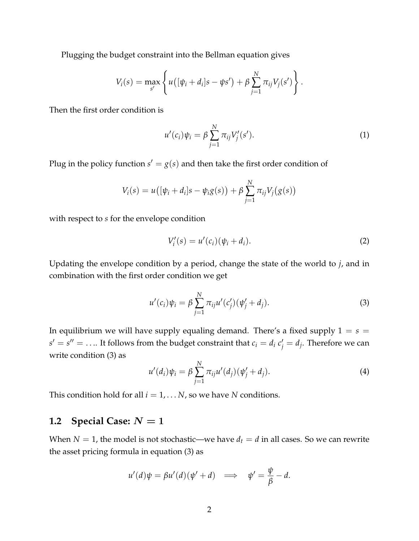Plugging the budget constraint into the Bellman equation gives

$$
V_i(s) = \max_{s'} \left\{ u\big( [\psi_i + d_i]s - \psi s' \big) + \beta \sum_{j=1}^N \pi_{ij} V_j(s') \right\}.
$$

Then the first order condition is

$$
u'(c_i)\psi_i = \beta \sum_{j=1}^{N} \pi_{ij} V'_j(s'). \tag{1}
$$

Plug in the policy function  $s' = g(s)$  and then take the first order condition of

$$
V_i(s) = u([ \psi_i + d_i] s - \psi_i g(s) ) + \beta \sum_{j=1}^N \pi_{ij} V_j(g(s))
$$

with respect to *s* for the envelope condition

$$
V'_{i}(s) = u'(c_{i})(\psi_{i} + d_{i}).
$$
\n(2)

Updating the envelope condition by a period, change the state of the world to *j*, and in combination with the first order condition we get

$$
u'(c_i)\psi_i = \beta \sum_{j=1}^N \pi_{ij} u'(c'_j)(\psi'_j + d_j).
$$
 (3)

In equilibrium we will have supply equaling demand. There's a fixed supply  $1 = s =$  $s' = s'' = \ldots$  It follows from the budget constraint that  $c_i = d_i c'_j = d_j$ . Therefore we can write condition (3) as

$$
u'(d_i)\psi_i = \beta \sum_{j=1}^{N} \pi_{ij} u'(d_j)(\psi'_j + d_j).
$$
 (4)

This condition hold for all  $i = 1, \ldots N$ , so we have *N* conditions.

### **1.2 Special Case:**  $N = 1$

When  $N = 1$ , the model is not stochastic—we have  $d_t = d$  in all cases. So we can rewrite the asset pricing formula in equation (3) as

$$
u'(d)\psi = \beta u'(d)(\psi' + d) \implies \psi' = \frac{\psi}{\beta} - d.
$$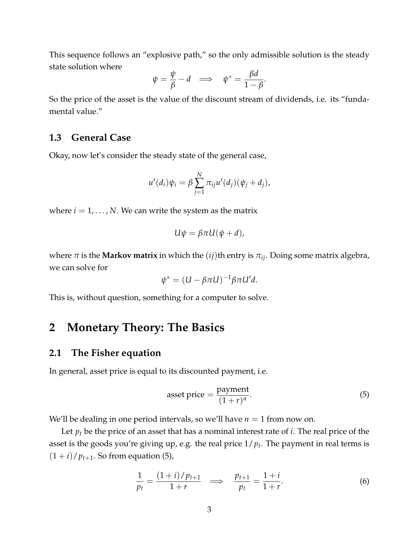This sequence follows an "explosive path," so the only admissible solution is the steady state solution where

$$
\psi = \frac{\psi}{\beta} - d \implies \psi^* = \frac{\beta d}{1 - \beta}.
$$

So the price of the asset is the value of the discount stream of dividends, i.e. its "fundamental value."

### **1.3 General Case**

Okay, now let's consider the steady state of the general case,

$$
u'(d_i)\psi_i = \beta \sum_{j=1}^N \pi_{ij}u'(d_j)(\psi_j + d_j),
$$

where  $i = 1, \ldots, N$ . We can write the system as the matrix

$$
U\psi = \beta \pi U(\psi + d),
$$

where  $\pi$  is the **Markov matrix** in which the (*ij*)th entry is  $\pi_{ij}$ . Doing some matrix algebra, we can solve for

$$
\psi^* = (U - \beta \pi U)^{-1} \beta \pi U' d.
$$

This is, without question, something for a computer to solve.

## **2 Monetary Theory: The Basics**

#### **2.1 The Fisher equation**

In general, asset price is equal to its discounted payment, i.e.

$$
asset\ price = \frac{payment}{(1+r)^n}.\tag{5}
$$

We'll be dealing in one period intervals, so we'll have  $n = 1$  from now on.

Let *p<sup>t</sup>* be the price of an asset that has a nominal interest rate of *i*. The real price of the asset is the goods you're giving up, e.g. the real price 1/*p<sup>t</sup>* . The payment in real terms is  $(1+i)/p_{t+1}$ . So from equation (5),

$$
\frac{1}{p_t} = \frac{(1+i)/p_{t+1}}{1+r} \implies \frac{p_{t+1}}{p_t} = \frac{1+i}{1+r}.
$$
 (6)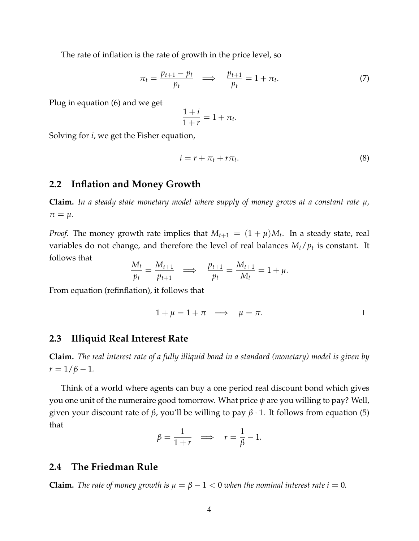The rate of inflation is the rate of growth in the price level, so

$$
\pi_t = \frac{p_{t+1} - p_t}{p_t} \quad \Longrightarrow \quad \frac{p_{t+1}}{p_t} = 1 + \pi_t. \tag{7}
$$

Plug in equation (6) and we get

$$
\frac{1+i}{1+r} = 1 + \pi_t.
$$

Solving for *i*, we get the Fisher equation,

$$
i = r + \pi_t + r\pi_t. \tag{8}
$$

#### **2.2 Inflation and Money Growth**

**Claim.** *In a steady state monetary model where supply of money grows at a constant rate µ,*  $\pi = \mu$ .

*Proof.* The money growth rate implies that  $M_{t+1} = (1 + \mu)M_t$ . In a steady state, real variables do not change, and therefore the level of real balances *Mt*/*p<sup>t</sup>* is constant. It follows that

$$
\frac{M_t}{p_t} = \frac{M_{t+1}}{p_{t+1}} \quad \Longrightarrow \quad \frac{p_{t+1}}{p_t} = \frac{M_{t+1}}{M_t} = 1 + \mu.
$$

From equation (refinflation), it follows that

$$
1 + \mu = 1 + \pi \implies \mu = \pi.
$$

#### **2.3 Illiquid Real Interest Rate**

**Claim.** *The real interest rate of a fully illiquid bond in a standard (monetary) model is given by*  $r = 1/\beta - 1$ .

Think of a world where agents can buy a one period real discount bond which gives you one unit of the numeraire good tomorrow. What price *ψ* are you willing to pay? Well, given your discount rate of *β*, you'll be willing to pay *β* · 1. It follows from equation (5) that

$$
\beta = \frac{1}{1+r} \implies r = \frac{1}{\beta} - 1.
$$

## **2.4 The Friedman Rule**

**Claim.** The rate of money growth is  $\mu = \beta - 1 < 0$  when the nominal interest rate  $i = 0$ .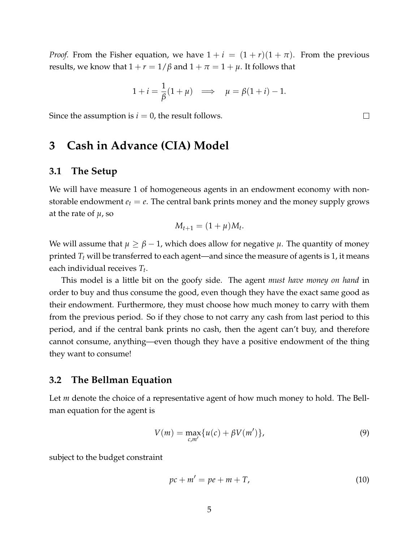*Proof.* From the Fisher equation, we have  $1 + i = (1 + r)(1 + \pi)$ . From the previous results, we know that  $1 + r = 1/\beta$  and  $1 + \pi = 1 + \mu$ . It follows that

$$
1 + i = \frac{1}{\beta}(1 + \mu) \implies \mu = \beta(1 + i) - 1.
$$

Since the assumption is  $i = 0$ , the result follows.

## **3 Cash in Advance (CIA) Model**

### **3.1 The Setup**

We will have measure 1 of homogeneous agents in an endowment economy with nonstorable endowment  $e_t = e$ . The central bank prints money and the money supply grows at the rate of  $\mu$ , so

$$
M_{t+1}=(1+\mu)M_t.
$$

We will assume that  $\mu \geq \beta - 1$ , which does allow for negative  $\mu$ . The quantity of money printed *T<sup>t</sup>* will be transferred to each agent—and since the measure of agents is 1, it means each individual receives *T<sup>t</sup>* .

This model is a little bit on the goofy side. The agent *must have money on hand* in order to buy and thus consume the good, even though they have the exact same good as their endowment. Furthermore, they must choose how much money to carry with them from the previous period. So if they chose to not carry any cash from last period to this period, and if the central bank prints no cash, then the agent can't buy, and therefore cannot consume, anything—even though they have a positive endowment of the thing they want to consume!

#### **3.2 The Bellman Equation**

Let *m* denote the choice of a representative agent of how much money to hold. The Bellman equation for the agent is

$$
V(m) = \max_{c,m'} \{ u(c) + \beta V(m') \},
$$
\n(9)

subject to the budget constraint

$$
pc + m' = pe + m + T,
$$
\n(10)

 $\Box$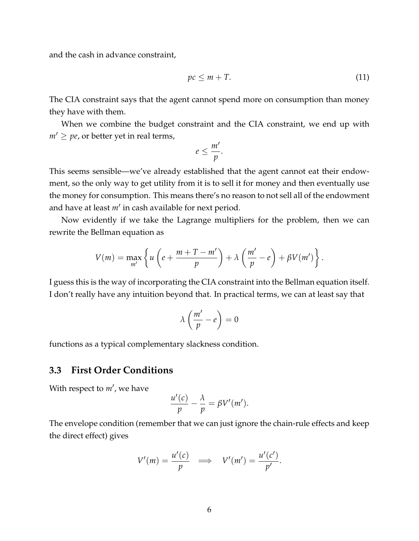and the cash in advance constraint,

$$
pc \le m + T. \tag{11}
$$

The CIA constraint says that the agent cannot spend more on consumption than money they have with them.

When we combine the budget constraint and the CIA constraint, we end up with  $m' \geq p$ e, or better yet in real terms,

$$
e\leq \frac{m'}{p}.
$$

This seems sensible—we've already established that the agent cannot eat their endowment, so the only way to get utility from it is to sell it for money and then eventually use the money for consumption. This means there's no reason to not sell all of the endowment and have at least *m*′ in cash available for next period.

Now evidently if we take the Lagrange multipliers for the problem, then we can rewrite the Bellman equation as

$$
V(m) = \max_{m'} \left\{ u \left( e + \frac{m + T - m'}{p} \right) + \lambda \left( \frac{m'}{p} - e \right) + \beta V(m') \right\}.
$$

I guess this is the way of incorporating the CIA constraint into the Bellman equation itself. I don't really have any intuition beyond that. In practical terms, we can at least say that

$$
\lambda \left( \frac{m'}{p} - e \right) = 0
$$

functions as a typical complementary slackness condition.

#### **3.3 First Order Conditions**

With respect to *m*′ , we have

$$
\frac{u'(c)}{p} - \frac{\lambda}{p} = \beta V'(m').
$$

The envelope condition (remember that we can just ignore the chain-rule effects and keep the direct effect) gives

$$
V'(m) = \frac{u'(c)}{p} \quad \Longrightarrow \quad V'(m') = \frac{u'(c')}{p'}.
$$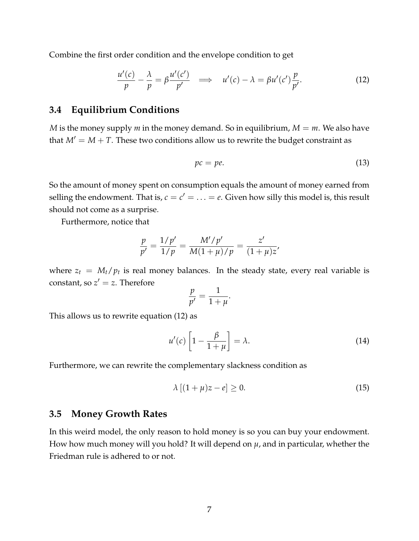Combine the first order condition and the envelope condition to get

$$
\frac{u'(c)}{p} - \frac{\lambda}{p} = \beta \frac{u'(c')}{p'} \quad \Longrightarrow \quad u'(c) - \lambda = \beta u'(c') \frac{p}{p'}.
$$

## **3.4 Equilibrium Conditions**

*M* is the money supply *m* in the money demand. So in equilibrium,  $M = m$ . We also have that  $M' = M + T$ . These two conditions allow us to rewrite the budget constraint as

$$
pc = pe. \t\t(13)
$$

So the amount of money spent on consumption equals the amount of money earned from selling the endowment. That is,  $c = c' = \ldots = e$ . Given how silly this model is, this result should not come as a surprise.

Furthermore, notice that

$$
\frac{p}{p'} = \frac{1/p'}{1/p} = \frac{M'/p'}{M(1+\mu)/p} = \frac{z'}{(1+\mu)z'}
$$

where  $z_t = M_t/p_t$  is real money balances. In the steady state, every real variable is constant, so  $z' = z$ . Therefore

$$
\frac{p}{p'}=\frac{1}{1+\mu}.
$$

This allows us to rewrite equation (12) as

$$
u'(c)\left[1-\frac{\beta}{1+\mu}\right] = \lambda.
$$
 (14)

Furthermore, we can rewrite the complementary slackness condition as

$$
\lambda [(1 + \mu)z - e] \ge 0. \tag{15}
$$

#### **3.5 Money Growth Rates**

In this weird model, the only reason to hold money is so you can buy your endowment. How how much money will you hold? It will depend on  $\mu$ , and in particular, whether the Friedman rule is adhered to or not.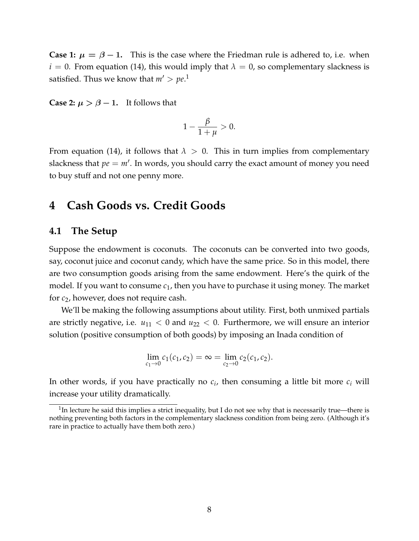**Case 1:**  $\mu = \beta - 1$ . This is the case where the Friedman rule is adhered to, i.e. when  $i = 0$ . From equation (14), this would imply that  $\lambda = 0$ , so complementary slackness is satisfied. Thus we know that  $m' > pe$ .<sup>1</sup>

**Case 2:**  $\mu > \beta - 1$ . It follows that

$$
1-\frac{\beta}{1+\mu}>0.
$$

From equation (14), it follows that  $\lambda > 0$ . This in turn implies from complementary slackness that  $pe = m'$ . In words, you should carry the exact amount of money you need to buy stuff and not one penny more.

## **4 Cash Goods vs. Credit Goods**

#### **4.1 The Setup**

Suppose the endowment is coconuts. The coconuts can be converted into two goods, say, coconut juice and coconut candy, which have the same price. So in this model, there are two consumption goods arising from the same endowment. Here's the quirk of the model. If you want to consume *c*1, then you have to purchase it using money. The market for *c*2, however, does not require cash.

We'll be making the following assumptions about utility. First, both unmixed partials are strictly negative, i.e.  $u_{11} < 0$  and  $u_{22} < 0$ . Furthermore, we will ensure an interior solution (positive consumption of both goods) by imposing an Inada condition of

$$
\lim_{c_1 \to 0} c_1(c_1, c_2) = \infty = \lim_{c_2 \to 0} c_2(c_1, c_2).
$$

In other words, if you have practically no  $c_i$ , then consuming a little bit more  $c_i$  will increase your utility dramatically.

<sup>&</sup>lt;sup>1</sup>In lecture he said this implies a strict inequality, but I do not see why that is necessarily true—there is nothing preventing both factors in the complementary slackness condition from being zero. (Although it's rare in practice to actually have them both zero.)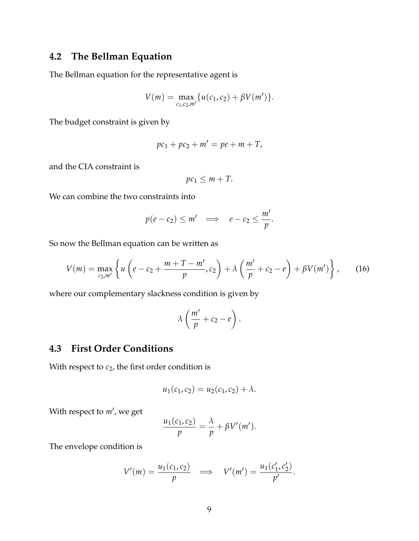## **4.2 The Bellman Equation**

The Bellman equation for the representative agent is

$$
V(m) = \max_{c_1, c_2, m'} \{ u(c_1, c_2) + \beta V(m') \}.
$$

The budget constraint is given by

$$
pc_1 + pc_2 + m' = pe + m + T,
$$

and the CIA constraint is

$$
pc_1 \leq m + T.
$$

We can combine the two constraints into

$$
p(e-c_2) \leq m' \implies e-c_2 \leq \frac{m'}{p}.
$$

So now the Bellman equation can be written as

$$
V(m) = \max_{c_2,m'} \left\{ u \left( e - c_2 + \frac{m + T - m'}{p}, c_2 \right) + \lambda \left( \frac{m'}{p} + c_2 - e \right) + \beta V(m') \right\},
$$
 (16)

where our complementary slackness condition is given by

$$
\lambda\left(\frac{m'}{p}+c_2-e\right).
$$

## **4.3 First Order Conditions**

With respect to  $c_2$ , the first order condition is

$$
u_1(c_1, c_2) = u_2(c_1, c_2) + \lambda.
$$

With respect to *m*′ , we get

$$
\frac{u_1(c_1,c_2)}{p} = \frac{\lambda}{p} + \beta V'(m').
$$

The envelope condition is

$$
V'(m) = \frac{u_1(c_1, c_2)}{p} \implies V'(m') = \frac{u_1(c'_1, c'_2)}{p'}.
$$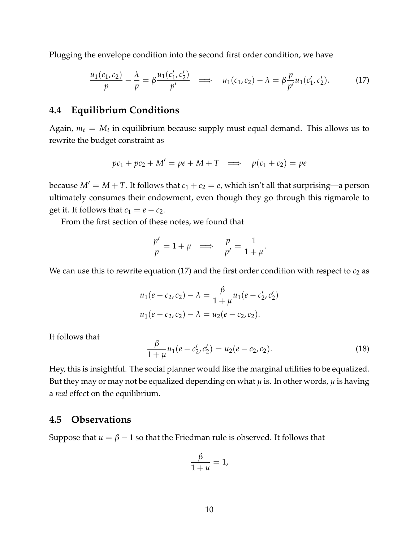Plugging the envelope condition into the second first order condition, we have

$$
\frac{u_1(c_1, c_2)}{p} - \frac{\lambda}{p} = \beta \frac{u_1(c'_1, c'_2)}{p'} \implies u_1(c_1, c_2) - \lambda = \beta \frac{p}{p'} u_1(c'_1, c'_2). \tag{17}
$$

## **4.4 Equilibrium Conditions**

Again,  $m_t = M_t$  in equilibrium because supply must equal demand. This allows us to rewrite the budget constraint as

$$
pc_1 + pc_2 + M' = pe + M + T \implies p(c_1 + c_2) = pe
$$

because  $M' = M + T$ . It follows that  $c_1 + c_2 = e$ , which isn't all that surprising—a person ultimately consumes their endowment, even though they go through this rigmarole to get it. It follows that  $c_1 = e - c_2$ .

From the first section of these notes, we found that

$$
\frac{p'}{p} = 1 + \mu \implies \frac{p}{p'} = \frac{1}{1 + \mu}.
$$

We can use this to rewrite equation  $(17)$  and the first order condition with respect to  $c_2$  as

$$
u_1(e - c_2, c_2) - \lambda = \frac{\beta}{1 + \mu} u_1(e - c'_2, c'_2)
$$
  

$$
u_1(e - c_2, c_2) - \lambda = u_2(e - c_2, c_2).
$$

It follows that

$$
\frac{\beta}{1+\mu}u_1(e-c'_2,c'_2) = u_2(e-c_2,c_2).
$$
\n(18)

Hey, this is insightful. The social planner would like the marginal utilities to be equalized. But they may or may not be equalized depending on what  $\mu$  is. In other words,  $\mu$  is having a *real* effect on the equilibrium.

### **4.5 Observations**

Suppose that  $u = \beta - 1$  so that the Friedman rule is observed. It follows that

$$
\frac{\beta}{1+u}=1,
$$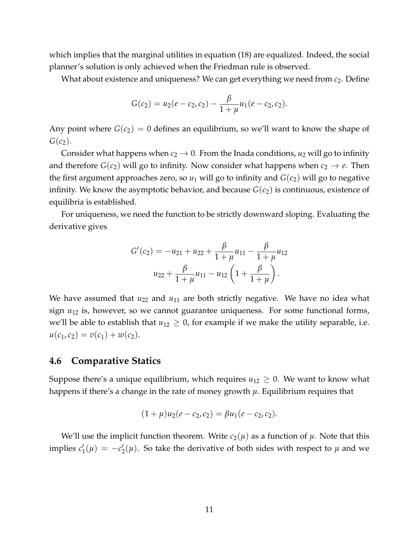which implies that the marginal utilities in equation (18) are equalized. Indeed, the social planner's solution is only achieved when the Friedman rule is observed.

What about existence and uniqueness? We can get everything we need from *c*2. Define

$$
G(c_2) = u_2(e - c_2, c_2) - \frac{\beta}{1 + \mu}u_1(e - c_2, c_2).
$$

Any point where  $G(c_2) = 0$  defines an equilibrium, so we'll want to know the shape of  $G(c_2)$ .

Consider what happens when  $c_2 \rightarrow 0$ . From the Inada conditions,  $u_2$  will go to infinity and therefore  $G(c_2)$  will go to infinity. Now consider what happens when  $c_2 \rightarrow e$ . Then the first argument approaches zero, so  $u_1$  will go to infinity and  $G(c_2)$  will go to negative infinity. We know the asymptotic behavior, and because  $G(c_2)$  is continuous, existence of equilibria is established.

For uniqueness, we need the function to be strictly downward sloping. Evaluating the derivative gives

$$
G'(c_2) = -u_{21} + u_{22} + \frac{\beta}{1+\mu}u_{11} - \frac{\beta}{1+\mu}u_{12}
$$

$$
u_{22} + \frac{\beta}{1+\mu}u_{11} - u_{12}\left(1 + \frac{\beta}{1+\mu}\right).
$$

We have assumed that  $u_{22}$  and  $u_{11}$  are both strictly negative. We have no idea what sign *u*<sup>12</sup> is, however, so we cannot guarantee uniqueness. For some functional forms, we'll be able to establish that  $u_{12} \geq 0$ , for example if we make the utility separable, i.e.  $u(c_1, c_2) = v(c_1) + w(c_2).$ 

#### **4.6 Comparative Statics**

Suppose there's a unique equilibrium, which requires  $u_{12} \geq 0$ . We want to know what happens if there's a change in the rate of money growth *µ*. Equilibrium requires that

$$
(1+\mu)u_2(e-c_2,c_2)=\beta u_1(e-c_2,c_2).
$$

We'll use the implicit function theorem. Write  $c_2(\mu)$  as a function of  $\mu$ . Note that this implies *c* ′  $\iota'_1(\mu) = -c'_2$  $\chi_2'(\mu)$ . So take the derivative of both sides with respect to  $\mu$  and we